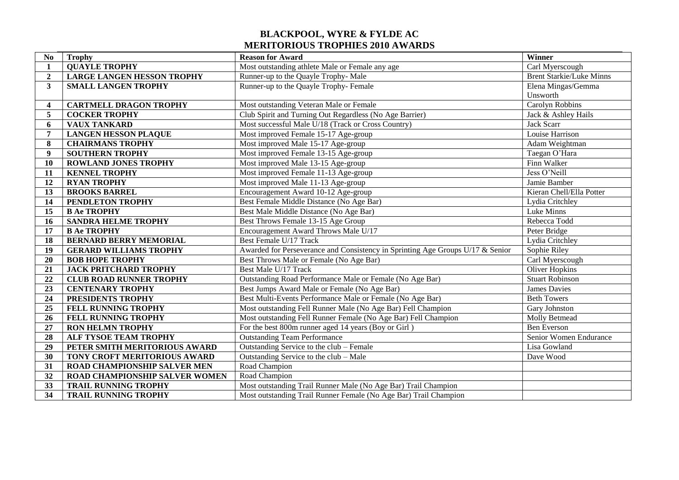## **BLACKPOOL, WYRE & FYLDE AC MERITORIOUS TROPHIES 2010 AWARDS**

| N <sub>0</sub>          | <b>Trophy</b>                       | <b>Reason for Award</b>                                                        | Winner                          |
|-------------------------|-------------------------------------|--------------------------------------------------------------------------------|---------------------------------|
| 1                       | <b>QUAYLE TROPHY</b>                | Most outstanding athlete Male or Female any age                                | Carl Myerscough                 |
| $\boldsymbol{2}$        | <b>LARGE LANGEN HESSON TROPHY</b>   | Runner-up to the Quayle Trophy-Male                                            | <b>Brent Starkie/Luke Minns</b> |
| $\mathbf{3}$            | <b>SMALL LANGEN TROPHY</b>          | Runner-up to the Quayle Trophy-Female                                          | Elena Mingas/Gemma              |
|                         |                                     |                                                                                | Unsworth                        |
| $\overline{\mathbf{4}}$ | <b>CARTMELL DRAGON TROPHY</b>       | Most outstanding Veteran Male or Female                                        | Carolyn Robbins                 |
| 5                       | <b>COCKER TROPHY</b>                | Club Spirit and Turning Out Regardless (No Age Barrier)                        | Jack & Ashley Hails             |
| 6                       | <b>VAUX TANKARD</b>                 | Most successful Male U/18 (Track or Cross Country)                             | <b>Jack Scarr</b>               |
| $\overline{7}$          | <b>LANGEN HESSON PLAQUE</b>         | Most improved Female 15-17 Age-group                                           | Louise Harrison                 |
| 8                       | <b>CHAIRMANS TROPHY</b>             | Most improved Male 15-17 Age-group                                             | Adam Weightman                  |
| $\boldsymbol{9}$        | <b>SOUTHERN TROPHY</b>              | Most improved Female 13-15 Age-group                                           | Taegan O'Hara                   |
| 10                      | <b>ROWLAND JONES TROPHY</b>         | Most improved Male 13-15 Age-group                                             | Finn Walker                     |
| 11                      | <b>KENNEL TROPHY</b>                | Most improved Female 11-13 Age-group                                           | Jess O'Neill                    |
| 12                      | <b>RYAN TROPHY</b>                  | Most improved Male 11-13 Age-group                                             | Jamie Bamber                    |
| 13                      | <b>BROOKS BARREL</b>                | Encouragement Award 10-12 Age-group                                            | Kieran Chell/Ella Potter        |
| 14                      | PENDLETON TROPHY                    | Best Female Middle Distance (No Age Bar)                                       | Lydia Critchley                 |
| 15                      | <b>B Ae TROPHY</b>                  | Best Male Middle Distance (No Age Bar)                                         | Luke Minns                      |
| 16                      | <b>SANDRA HELME TROPHY</b>          | Best Throws Female 13-15 Age Group                                             | Rebecca Todd                    |
| 17                      | <b>B Ae TROPHY</b>                  | Encouragement Award Throws Male U/17                                           | Peter Bridge                    |
| 18                      | <b>BERNARD BERRY MEMORIAL</b>       | Best Female U/17 Track                                                         | Lydia Critchley                 |
| 19                      | <b>GERARD WILLIAMS TROPHY</b>       | Awarded for Perseverance and Consistency in Sprinting Age Groups U/17 & Senior | Sophie Riley                    |
| 20                      | <b>BOB HOPE TROPHY</b>              | Best Throws Male or Female (No Age Bar)                                        | Carl Myerscough                 |
| 21                      | <b>JACK PRITCHARD TROPHY</b>        | Best Male U/17 Track                                                           | <b>Oliver Hopkins</b>           |
| 22                      | <b>CLUB ROAD RUNNER TROPHY</b>      | Outstanding Road Performance Male or Female (No Age Bar)                       | <b>Stuart Robinson</b>          |
| $\overline{23}$         | <b>CENTENARY TROPHY</b>             | Best Jumps Award Male or Female (No Age Bar)                                   | <b>James Davies</b>             |
| 24                      | PRESIDENTS TROPHY                   | Best Multi-Events Performance Male or Female (No Age Bar)                      | <b>Beth Towers</b>              |
| 25                      | FELL RUNNING TROPHY                 | Most outstanding Fell Runner Male (No Age Bar) Fell Champion                   | Gary Johnston                   |
| 26                      | FELL RUNNING TROPHY                 | Most outstanding Fell Runner Female (No Age Bar) Fell Champion                 | Molly Betmead                   |
| $\overline{27}$         | <b>RON HELMN TROPHY</b>             | For the best 800m runner aged 14 years (Boy or Girl)                           | <b>Ben</b> Everson              |
| 28                      | ALF TYSOE TEAM TROPHY               | <b>Outstanding Team Performance</b>                                            | Senior Women Endurance          |
| 29                      | PETER SMITH MERITORIOUS AWARD       | Outstanding Service to the club – Female                                       | Lisa Gowland                    |
| $\overline{30}$         | TONY CROFT MERITORIOUS AWARD        | Outstanding Service to the club - Male                                         | Dave Wood                       |
| 31                      | <b>ROAD CHAMPIONSHIP SALVER MEN</b> | Road Champion                                                                  |                                 |
| 32                      | ROAD CHAMPIONSHIP SALVER WOMEN      | Road Champion                                                                  |                                 |
| 33                      | <b>TRAIL RUNNING TROPHY</b>         | Most outstanding Trail Runner Male (No Age Bar) Trail Champion                 |                                 |
| 34                      | <b>TRAIL RUNNING TROPHY</b>         | Most outstanding Trail Runner Female (No Age Bar) Trail Champion               |                                 |